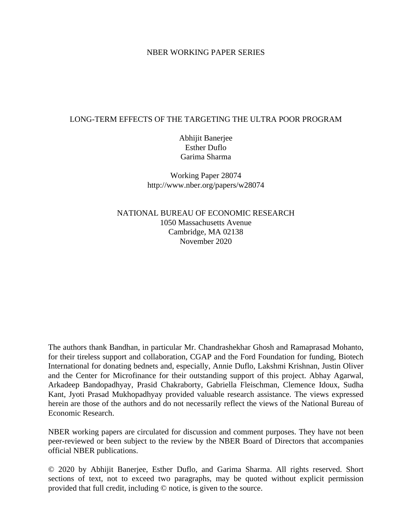### NBER WORKING PAPER SERIES

## LONG-TERM EFFECTS OF THE TARGETING THE ULTRA POOR PROGRAM

Abhijit Banerjee Esther Duflo Garima Sharma

Working Paper 28074 http://www.nber.org/papers/w28074

NATIONAL BUREAU OF ECONOMIC RESEARCH 1050 Massachusetts Avenue Cambridge, MA 02138 November 2020

The authors thank Bandhan, in particular Mr. Chandrashekhar Ghosh and Ramaprasad Mohanto, for their tireless support and collaboration, CGAP and the Ford Foundation for funding, Biotech International for donating bednets and, especially, Annie Duflo, Lakshmi Krishnan, Justin Oliver and the Center for Microfinance for their outstanding support of this project. Abhay Agarwal, Arkadeep Bandopadhyay, Prasid Chakraborty, Gabriella Fleischman, Clemence Idoux, Sudha Kant, Jyoti Prasad Mukhopadhyay provided valuable research assistance. The views expressed herein are those of the authors and do not necessarily reflect the views of the National Bureau of Economic Research.

NBER working papers are circulated for discussion and comment purposes. They have not been peer-reviewed or been subject to the review by the NBER Board of Directors that accompanies official NBER publications.

© 2020 by Abhijit Banerjee, Esther Duflo, and Garima Sharma. All rights reserved. Short sections of text, not to exceed two paragraphs, may be quoted without explicit permission provided that full credit, including © notice, is given to the source.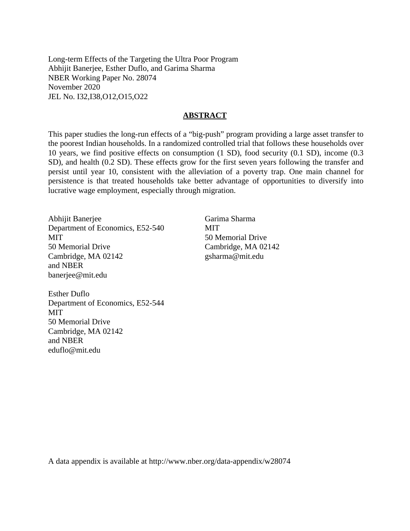Long-term Effects of the Targeting the Ultra Poor Program Abhijit Banerjee, Esther Duflo, and Garima Sharma NBER Working Paper No. 28074 November 2020 JEL No. I32,I38,O12,O15,O22

### **ABSTRACT**

This paper studies the long-run effects of a "big-push" program providing a large asset transfer to the poorest Indian households. In a randomized controlled trial that follows these households over 10 years, we find positive effects on consumption (1 SD), food security (0.1 SD), income (0.3 SD), and health (0.2 SD). These effects grow for the first seven years following the transfer and persist until year 10, consistent with the alleviation of a poverty trap. One main channel for persistence is that treated households take better advantage of opportunities to diversify into lucrative wage employment, especially through migration.

Abhijit Banerjee Department of Economics, E52-540 **MIT** 50 Memorial Drive Cambridge, MA 02142 and NBER banerjee@mit.edu

Esther Duflo Department of Economics, E52-544 MIT 50 Memorial Drive Cambridge, MA 02142 and NBER eduflo@mit.edu

Garima Sharma MIT 50 Memorial Drive Cambridge, MA 02142 gsharma@mit.edu

A data appendix is available at http://www.nber.org/data-appendix/w28074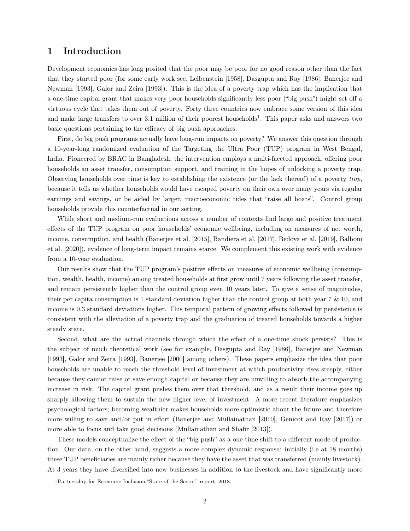## 1 Introduction

Development economics has long posited that the poor may be poor for no good reason other than the fact that they started poor (for some early work see, Leibenstein [1958], Dasgupta and Ray [1986], Banerjee and Newman [1993], Galor and Zeira [1993]). This is the idea of a poverty trap which has the implication that a one-time capital grant that makes very poor households significantly less poor ("big push") might set off a virtuous cycle that takes them out of poverty. Forty three countries now embrace some version of this idea and make large transfers to over 3.1 million of their poorest households<sup>1</sup>. This paper asks and answers two basic questions pertaining to the efficacy of big push approaches.

First, do big push programs actually have long-run impacts on poverty? We answer this question through a 10-year-long randomized evaluation of the Targeting the Ultra Poor (TUP) program in West Bengal, India. Pioneered by BRAC in Bangladesh, the intervention employs a multi-faceted approach, offering poor households an asset transfer, consumption support, and training in the hopes of unlocking a poverty trap. Observing households over time is key to establishing the existence (or the lack thereof) of a poverty *trap*, because it tells us whether households would have escaped poverty on their own over many years via regular earnings and savings, or be aided by larger, macroeconomic tides that "raise all boats". Control group households provide this counterfactual in our setting.

While short and medium-run evaluations across a number of contexts find large and positive treatment effects of the TUP program on poor households' economic wellbeing, including on measures of net worth, income, consumption, and health (Banerjee et al. [2015], Bandiera et al. [2017], Bedoya et al. [2019], Balboni et al. [2020]), evidence of long-term impact remains scarce. We complement this existing work with evidence from a 10-year evaluation.

Our results show that the TUP program's positive effects on measures of economic wellbeing (consumption, wealth, health, income) among treated households at first grow until 7 years following the asset transfer, and remain persistently higher than the control group even 10 years later. To give a sense of magnitudes, their per capita consumption is 1 standard deviation higher than the control group at both year 7 & 10, and income is 0.3 standard deviations higher. This temporal pattern of growing effects followed by persistence is consistent with the alleviation of a poverty trap and the graduation of treated households towards a higher steady state.

Second, what are the actual channels through which the effect of a one-time shock persists? This is the subject of much theoretical work (see for example, Dasgupta and Ray [1986], Banerjee and Newman [1993], Galor and Zeira [1993], Banerjee [2000] among others). These papers emphasize the idea that poor households are unable to reach the threshold level of investment at which productivity rises steeply, either because they cannot raise or save enough capital or because they are unwilling to absorb the accompanying increase in risk. The capital grant pushes them over that threshold, and as a result their income goes up sharply allowing them to sustain the new higher level of investment. A more recent literature emphasizes psychological factors; becoming wealthier makes households more optimistic about the future and therefore more willing to save and/or put in effort (Banerjee and Mullainathan [2010], Genicot and Ray [2017]) or more able to focus and take good decisions (Mullainathan and Shafir [2013]).

These models conceptualize the effect of the "big push" as a one-time shift to a different mode of production. Our data, on the other hand, suggests a more complex dynamic response: initially (i.e at 18 months) these TUP beneficiaries are mainly richer because they have the asset that was transferred (mainly livestock). At 3 years they have diversified into new businesses in addition to the livestock and have significantly more

<sup>1</sup>Partnership for Economic Inclusion "State of the Sector" report, 2018.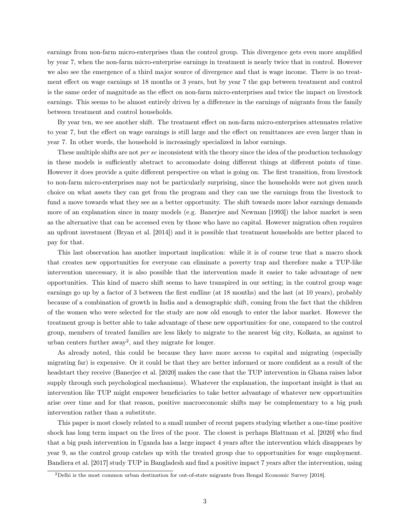earnings from non-farm micro-enterprises than the control group. This divergence gets even more amplified by year 7, when the non-farm micro-enterprise earnings in treatment is nearly twice that in control. However we also see the emergence of a third major source of divergence and that is wage income. There is no treatment effect on wage earnings at 18 months or 3 years, but by year 7 the gap between treatment and control is the same order of magnitude as the effect on non-farm micro-enterprises and twice the impact on livestock earnings. This seems to be almost entirely driven by a difference in the earnings of migrants from the family between treatment and control households.

By year ten, we see another shift. The treatment effect on non-farm micro-enterprises attenuates relative to year 7, but the effect on wage earnings is still large and the effect on remittances are even larger than in year 7. In other words, the household is increasingly specialized in labor earnings.

These multiple shifts are not *per se* inconsistent with the theory since the idea of the production technology in these models is sufficiently abstract to accomodate doing different things at different points of time. However it does provide a quite different perspective on what is going on. The first transition, from livestock to non-farm micro-enterprises may not be particularly surprising, since the households were not given much choice on what assets they can get from the program and they can use the earnings from the livestock to fund a move towards what they see as a better opportunity. The shift towards more labor earnings demands more of an explanation since in many models (e.g. Banerjee and Newman [1993]) the labor market is seen as the alternative that can be accessed even by those who have no capital. However migration often requires an upfront investment (Bryan et al. [2014]) and it is possible that treatment households are better placed to pay for that.

This last observation has another important implication: while it is of course true that a macro shock that creates new opportunities for everyone can eliminate a poverty trap and therefore make a TUP-like intervention unecessary, it is also possible that the intervention made it easier to take advantage of new opportunities. This kind of macro shift seems to have transpired in our setting; in the control group wage earnings go up by a factor of 3 between the first endline (at 18 months) and the last (at 10 years), probably because of a combination of growth in India and a demographic shift, coming from the fact that the children of the women who were selected for the study are now old enough to enter the labor market. However the treatment group is better able to take advantage of these new opportunities–for one, compared to the control group, members of treated families are less likely to migrate to the nearest big city, Kolkata, as against to urban centers further away<sup>2</sup>, and they migrate for longer.

As already noted, this could be because they have more access to capital and migrating (especially migrating far) is expensive. Or it could be that they are better informed or more confident as a result of the headstart they receive (Banerjee et al. [2020] makes the case that the TUP intervention in Ghana raises labor supply through such psychological mechanisms). Whatever the explanation, the important insight is that an intervention like TUP might empower beneficiaries to take better advantage of whatever new opportunities arise over time and for that reason, positive macroeconomic shifts may be complementary to a big push intervention rather than a substitute.

This paper is most closely related to a small number of recent papers studying whether a one-time positive shock has long term impact on the lives of the poor. The closest is perhaps Blattman et al. [2020] who find that a big push intervention in Uganda has a large impact 4 years after the intervention which disappears by year 9, as the control group catches up with the treated group due to opportunities for wage employment. Bandiera et al. [2017] study TUP in Bangladesh and find a positive impact 7 years after the intervention, using

<sup>2</sup>Delhi is the most common urban destination for out-of-state migrants from Bengal Economic Survey [2018].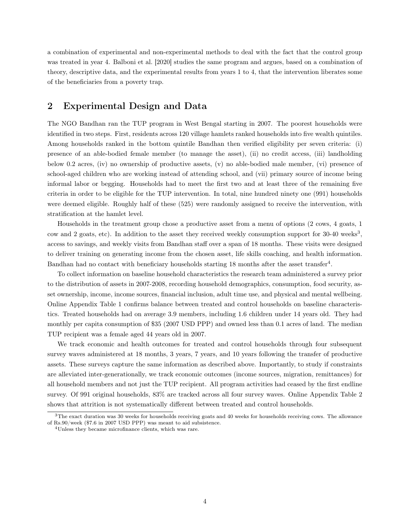a combination of experimental and non-experimental methods to deal with the fact that the control group was treated in year 4. Balboni et al. [2020] studies the same program and argues, based on a combination of theory, descriptive data, and the experimental results from years 1 to 4, that the intervention liberates some of the beneficiaries from a poverty trap.

# 2 Experimental Design and Data

The NGO Bandhan ran the TUP program in West Bengal starting in 2007. The poorest households were identified in two steps. First, residents across 120 village hamlets ranked households into five wealth quintiles. Among households ranked in the bottom quintile Bandhan then verified eligibility per seven criteria: (i) presence of an able-bodied female member (to manage the asset), (ii) no credit access, (iii) landholding below 0.2 acres, (iv) no ownership of productive assets, (v) no able-bodied male member, (vi) presence of school-aged children who are working instead of attending school, and (vii) primary source of income being informal labor or begging. Households had to meet the first two and at least three of the remaining five criteria in order to be eligible for the TUP intervention. In total, nine hundred ninety one (991) households were deemed eligible. Roughly half of these (525) were randomly assigned to receive the intervention, with stratification at the hamlet level.

Households in the treatment group chose a productive asset from a menu of options (2 cows, 4 goats, 1 cow and 2 goats, etc). In addition to the asset they received weekly consumption support for 30-40 weeks<sup>3</sup>, access to savings, and weekly visits from Bandhan staff over a span of 18 months. These visits were designed to deliver training on generating income from the chosen asset, life skills coaching, and health information. Bandhan had no contact with beneficiary households starting 18 months after the asset transfer<sup>4</sup>.

To collect information on baseline household characteristics the research team administered a survey prior to the distribution of assets in 2007-2008, recording household demographics, consumption, food security, asset ownership, income, income sources, financial inclusion, adult time use, and physical and mental wellbeing. Online Appendix Table 1 confirms balance between treated and control households on baseline characteristics. Treated households had on average 3.9 members, including 1.6 children under 14 years old. They had monthly per capita consumption of \$35 (2007 USD PPP) and owned less than 0.1 acres of land. The median TUP recipient was a female aged 44 years old in 2007.

We track economic and health outcomes for treated and control households through four subsequent survey waves administered at 18 months, 3 years, 7 years, and 10 years following the transfer of productive assets. These surveys capture the same information as described above. Importantly, to study if constraints are alleviated inter-generationally, we track economic outcomes (income sources, migration, remittances) for all household members and not just the TUP recipient. All program activities had ceased by the first endline survey. Of 991 original households, 83% are tracked across all four survey waves. Online Appendix Table 2 shows that attrition is not systematically different between treated and control households.

<sup>&</sup>lt;sup>3</sup>The exact duration was 30 weeks for households receiving goats and 40 weeks for households receiving cows. The allowance of Rs.90/week (\$7.6 in 2007 USD PPP) was meant to aid subsistence.

<sup>4</sup>Unless they became microfinance clients, which was rare.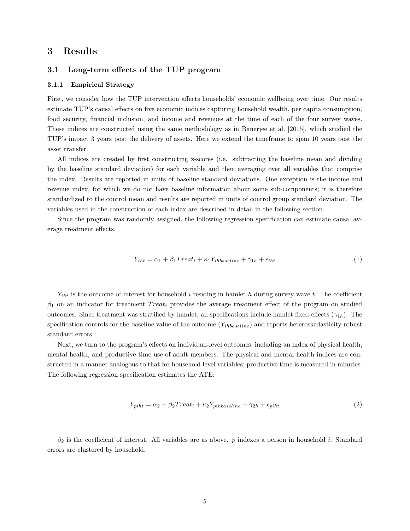## 3 Results

### 3.1 Long-term effects of the TUP program

#### 3.1.1 Empirical Strategy

First, we consider how the TUP intervention affects households' economic wellbeing over time. Our results estimate TUP's causal effects on five economic indices capturing household wealth, per capita consumption, food security, financial inclusion, and income and revenues at the time of each of the four survey waves. These indices are constructed using the same methodology as in Banerjee et al. [2015], which studied the TUP's impact 3 years post the delivery of assets. Here we extend the timeframe to span 10 years post the asset transfer.

All indices are created by first constructing z-scores (i.e. subtracting the baseline mean and dividing by the baseline standard deviation) for each variable and then averaging over all variables that comprise the index. Results are reported in units of baseline standard deviations. One exception is the income and revenue index, for which we do not have baseline information about some sub-components; it is therefore standardized to the control mean and results are reported in units of control group standard deviation. The variables used in the construction of each index are described in detail in the following section.

Since the program was randomly assigned, the following regression specification can estimate causal average treatment effects.

$$
Y_{iht} = \alpha_1 + \beta_1 Treat_i + \kappa_1 Y_{ihbaseline} + \gamma_{1h} + \epsilon_{iht}
$$
\n<sup>(1)</sup>

*Yiht* is the outcome of interest for household *i* residing in hamlet *h* during survey wave *t*. The coefficient  $\beta_1$  on an indicator for treatment  $Treat_i$  provides the average treatment effect of the program on studied outcomes. Since treatment was stratified by hamlet, all specifications include hamlet fixed-effects  $(\gamma_{1h})$ . The specification controls for the baseline value of the outcome (*Yihbaseline*) and reports heteroskedasticity-robust standard errors.

Next, we turn to the program's effects on individual-level outcomes, including an index of physical health, mental health, and productive time use of adult members. The physical and mental health indices are constructed in a manner analogous to that for household level variables; productive time is measured in minutes. The following regression specification estimates the ATE:

$$
Y_{piht} = \alpha_2 + \beta_2 Treat_i + \kappa_2 Y_{pihbaseline} + \gamma_{2h} + \epsilon_{piht}
$$
\n<sup>(2)</sup>

 $\beta_2$  is the coefficient of interest. All variables are as above. *p* indexes a person in household *i*. Standard errors are clustered by household.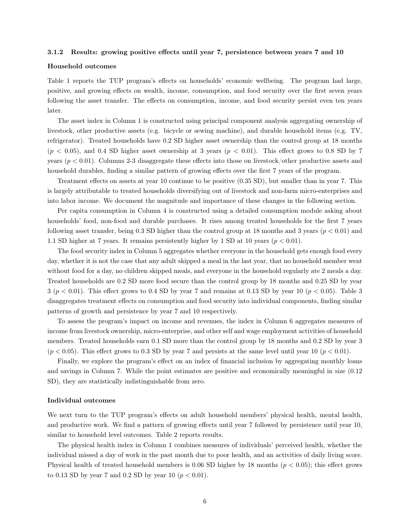#### 3.1.2 Results: growing positive effects until year 7, persistence between years 7 and 10

### Household outcomes

Table 1 reports the TUP program's effects on households' economic wellbeing. The program had large, positive, and growing effects on wealth, income, consumption, and food security over the first seven years following the asset transfer. The effects on consumption, income, and food security persist even ten years later.

The asset index in Column 1 is constructed using principal component analysis aggregating ownership of livestock, other productive assets (e.g. bicycle or sewing machine), and durable household items (e.g. TV, refrigerator). Treated households have 0.2 SD higher asset ownership than the control group at 18 months  $(p < 0.05)$ , and 0.4 SD higher asset ownership at 3 years  $(p < 0.01)$ . This effect grows to 0.8 SD by 7 years (*p <* 0*.*01). Columns 2-3 disaggregate these effects into those on livestock/other productive assets and household durables, finding a similar pattern of growing effects over the first 7 years of the program.

Treatment effects on assets at year 10 continue to be positive (0.35 SD), but smaller than in year 7. This is largely attributable to treated households diversifying out of livestock and non-farm micro-enterprises and into labor income. We document the magnitude and importance of these changes in the following section.

Per capita consumption in Column 4 is constructed using a detailed consumption module asking about households' food, non-food and durable purchases. It rises among treated households for the first 7 years following asset transfer, being 0.3 SD higher than the control group at 18 months and 3 years (*p <* 0*.*01) and 1.1 SD higher at 7 years. It remains persistently higher by 1 SD at 10 years (*p <* 0*.*01).

The food security index in Column 5 aggregates whether everyone in the household gets enough food every day, whether it is not the case that any adult skipped a meal in the last year, that no household member went without food for a day, no children skipped meals, and everyone in the household regularly ate 2 meals a day. Treated households are 0.2 SD more food secure than the control group by 18 months and 0.25 SD by year 3 (*p <* 0*.*01). This effect grows to 0.4 SD by year 7 and remains at 0.13 SD by year 10 (*p <* 0*.*05). Table 3 disaggregates treatment effects on consumption and food security into individual components, finding similar patterns of growth and persistence by year 7 and 10 respectively.

To assess the program's impact on income and revenues, the index in Column 6 aggregates measures of income from livestock ownership, micro-enterprise, and other self and wage employment activities of household members. Treated households earn 0.1 SD more than the control group by 18 months and 0.2 SD by year 3  $(p < 0.05)$ . This effect grows to 0.3 SD by year 7 and persists at the same level until year 10  $(p < 0.01)$ .

Finally, we explore the program's effect on an index of financial inclusion by aggregating monthly loans and savings in Column 7. While the point estimates are positive and economically meaningful in size (0.12 SD), they are statistically indistinguishable from zero.

#### Individual outcomes

We next turn to the TUP program's effects on adult household members' physical health, mental health, and productive work. We find a pattern of growing effects until year 7 followed by persistence until year 10, similar to household level outcomes. Table 2 reports results.

The physical health index in Column 1 combines measures of individuals' perceived health, whether the individual missed a day of work in the past month due to poor health, and an activities of daily living score. Physical health of treated household members is 0.06 SD higher by 18 months (*p <* 0*.*05); this effect grows to 0.13 SD by year 7 and 0.2 SD by year 10  $(p < 0.01)$ .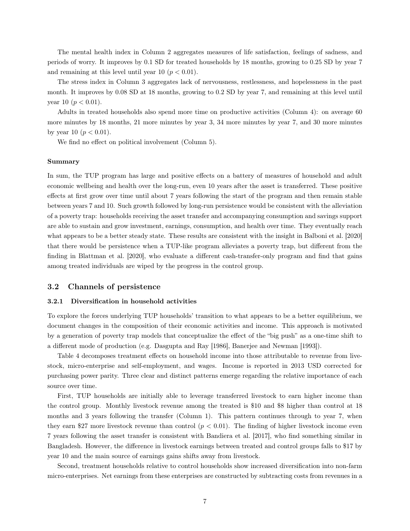The mental health index in Column 2 aggregates measures of life satisfaction, feelings of sadness, and periods of worry. It improves by 0.1 SD for treated households by 18 months, growing to 0.25 SD by year 7 and remaining at this level until year 10 ( $p < 0.01$ ).

The stress index in Column 3 aggregates lack of nervousness, restlessness, and hopelessness in the past month. It improves by 0.08 SD at 18 months, growing to 0.2 SD by year 7, and remaining at this level until year 10 ( $p < 0.01$ ).

Adults in treated households also spend more time on productive activities (Column 4): on average 60 more minutes by 18 months, 21 more minutes by year 3, 34 more minutes by year 7, and 30 more minutes by year 10 ( $p < 0.01$ ).

We find no effect on political involvement (Column 5).

#### Summary

In sum, the TUP program has large and positive effects on a battery of measures of household and adult economic wellbeing and health over the long-run, even 10 years after the asset is transferred. These positive effects at first grow over time until about 7 years following the start of the program and then remain stable between years 7 and 10. Such growth followed by long-run persistence would be consistent with the alleviation of a poverty trap: households receiving the asset transfer and accompanying consumption and savings support are able to sustain and grow investment, earnings, consumption, and health over time. They eventually reach what appears to be a better steady state. These results are consistent with the insight in Balboni et al. [2020] that there would be persistence when a TUP-like program alleviates a poverty trap, but different from the finding in Blattman et al. [2020], who evaluate a different cash-transfer-only program and find that gains among treated individuals are wiped by the progress in the control group.

### 3.2 Channels of persistence

#### 3.2.1 Diversification in household activities

To explore the forces underlying TUP households' transition to what appears to be a better equilibrium, we document changes in the composition of their economic activities and income. This approach is motivated by a generation of poverty trap models that conceptualize the effect of the "big push" as a one-time shift to a different mode of production (e.g. Dasgupta and Ray [1986], Banerjee and Newman [1993]).

Table 4 decomposes treatment effects on household income into those attributable to revenue from livestock, micro-enterprise and self-employment, and wages. Income is reported in 2013 USD corrected for purchasing power parity. Three clear and distinct patterns emerge regarding the relative importance of each source over time.

First, TUP households are initially able to leverage transferred livestock to earn higher income than the control group. Monthly livestock revenue among the treated is \$10 and \$8 higher than control at 18 months and 3 years following the transfer (Column 1). This pattern continues through to year 7, when they earn \$27 more livestock revenue than control  $(p < 0.01)$ . The finding of higher livestock income even 7 years following the asset transfer is consistent with Bandiera et al. [2017], who find something similar in Bangladesh. However, the difference in livestock earnings between treated and control groups falls to \$17 by year 10 and the main source of earnings gains shifts away from livestock.

Second, treatment households relative to control households show increased diversification into non-farm micro-enterprises. Net earnings from these enterprises are constructed by subtracting costs from revenues in a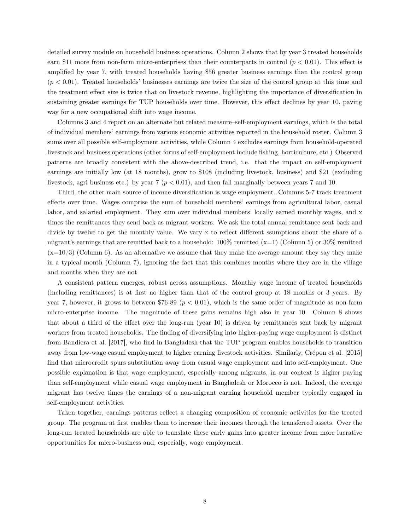detailed survey module on household business operations. Column 2 shows that by year 3 treated households earn \$11 more from non-farm micro-enterprises than their counterparts in control (*p <* 0*.*01). This effect is amplified by year 7, with treated households having \$56 greater business earnings than the control group (*p <* 0*.*01). Treated households' businesses earnings are twice the size of the control group at this time and the treatment effect size is twice that on livestock revenue, highlighting the importance of diversification in sustaining greater earnings for TUP households over time. However, this effect declines by year 10, paving way for a new occupational shift into wage income.

Columns 3 and 4 report on an alternate but related measure–self-employment earnings, which is the total of individual members' earnings from various economic activities reported in the household roster. Column 3 sums over all possible self-employment activities, while Column 4 excludes earnings from household-operated livestock and business operations (other forms of self-employment include fishing, horticulture, etc.) Observed patterns are broadly consistent with the above-described trend, i.e. that the impact on self-employment earnings are initially low (at 18 months), grow to \$108 (including livestock, business) and \$21 (excluding livestock, agri business etc.) by year 7 (*p <* 0*.*01), and then fall marginally between years 7 and 10.

Third, the other main source of income diversification is wage employment. Columns 5-7 track treatment effects over time. Wages comprise the sum of household members' earnings from agricultural labor, casual labor, and salaried employment. They sum over individual members' locally earned monthly wages, and x times the remittances they send back as migrant workers. We ask the total annual remittance sent back and divide by twelve to get the monthly value. We vary x to reflect different ssumptions about the share of a migrant's earnings that are remitted back to a household:  $100\%$  remitted (x=1) (Column 5) or 30% remitted  $(x=10/3)$  (Column 6). As an alternative we assume that they make the average amount they say they make in a typical month (Column 7), ignoring the fact that this combines months where they are in the village and months when they are not.

A consistent pattern emerges, robust across assumptions. Monthly wage income of treated households (including remittances) is at first no higher than that of the control group at 18 months or 3 years. By year 7, however, it grows to between \$76-89 ( $p < 0.01$ ), which is the same order of magnitude as non-farm micro-enterprise income. The magnitude of these gains remains high also in year 10. Column 8 shows that about a third of the effect over the long-run (year 10) is driven by remittances sent back by migrant workers from treated households. The finding of diversifying into higher-paying wage employment is distinct from Bandiera et al. [2017], who find in Bangladesh that the TUP program enables households to transition away from low-wage casual employment to higher earning livestock activities. Similarly, Crépon et al. [2015] find that microcredit spurs substitution away from casual wage employment and into self-employment. One possible explanation is that wage employment, especially among migrants, in our context is higher paying than self-employment while casual wage employment in Bangladesh or Morocco is not. Indeed, the average migrant has twelve times the earnings of a non-migrant earning household member typically engaged in self-employment activities.

Taken together, earnings patterns reflect a changing composition of economic activities for the treated group. The program at first enables them to increase their incomes through the transferred assets. Over the long-run treated households are able to translate these early gains into greater income from more lucrative opportunities for micro-business and, especially, wage employment.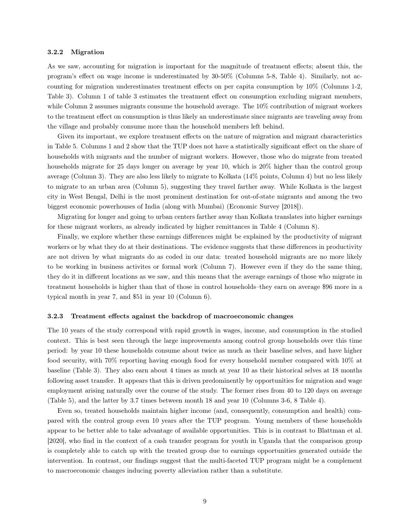### 3.2.2 Migration

As we saw, accounting for migration is important for the magnitude of treatment effects; absent this, the program's effect on wage income is underestimated by 30-50% (Columns 5-8, Table 4). Similarly, not accounting for migration underestimates treatment effects on per capita consumption by 10% (Columns 1-2, Table 3). Column 1 of table 3 estimates the treatment effect on consumption excluding migrant members, while Column 2 assumes migrants consume the household average. The 10% contribution of migrant workers to the treatment effect on consumption is thus likely an underestimate since migrants are traveling away from the village and probably consume more than the household members left behind.

Given its important, we explore treatment effects on the nature of migration and migrant characteristics in Table 5. Columns 1 and 2 show that the TUP does not have a statistically significant effect on the share of households with migrants and the number of migrant workers. However, those who do migrate from treated households migrate for 25 days longer on average by year 10, which is 20% higher than the control group average (Column 3). They are also less likely to migrate to Kolkata (14% points, Column 4) but no less likely to migrate to an urban area (Column 5), suggesting they travel farther away. While Kolkata is the largest city in West Bengal, Delhi is the most prominent destination for out-of-state migrants and among the two biggest economic powerhouses of India (along with Mumbai) (Economic Survey [2018]).

Migrating for longer and going to urban centers farther away than Kolkata translates into higher earnings for these migrant workers, as already indicated by higher remittances in Table 4 (Column 8).

Finally, we explore whether these earnings differences might be explained by the productivity of migrant workers or by what they do at their destinations. The evidence suggests that these differences in productivity are not driven by what migrants do as coded in our data: treated household migrants are no more likely to be working in business activites or formal work (Column 7). However even if they do the same thing, they do it in different locations as we saw, and this means that the average earnings of those who migrate in treatment households is higher than that of those in control households–they earn on average \$96 more in a typical month in year 7, and \$51 in year 10 (Column 6).

#### 3.2.3 Treatment effects against the backdrop of macroeconomic changes

The 10 years of the study correspond with rapid growth in wages, income, and consumption in the studied context. This is best seen through the large improvements among control group households over this time period: by year 10 these households consume about twice as much as their baseline selves, and have higher food security, with 70% reporting having enough food for every household member compared with 10% at baseline (Table 3). They also earn about 4 times as much at year 10 as their historical selves at 18 months following asset transfer. It appears that this is driven predominently by opportunities for migration and wage employment arising naturally over the course of the study. The former rises from 40 to 120 days on average (Table 5), and the latter by 3.7 times between month 18 and year 10 (Columns 3-6, 8 Table 4).

Even so, treated households maintain higher income (and, consequently, consumption and health) compared with the control group even 10 years after the TUP program. Young members of these households appear to be better able to take advantage of available opportunities. This is in contrast to Blattman et al. [2020], who find in the context of a cash transfer program for youth in Uganda that the comparison group is completely able to catch up with the treated group due to earnings opportunities generated outside the intervention. In contrast, our findings suggest that the multi-faceted TUP program might be a complement to macroeconomic changes inducing poverty alleviation rather than a substitute.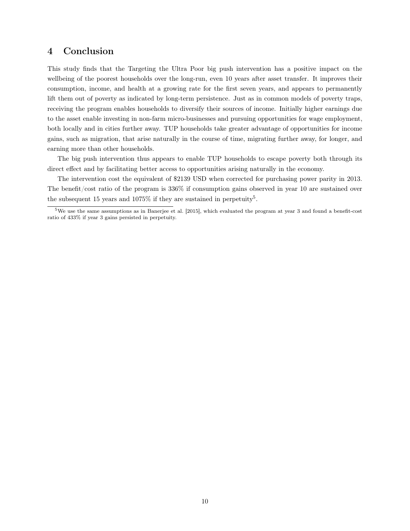# 4 Conclusion

This study finds that the Targeting the Ultra Poor big push intervention has a positive impact on the wellbeing of the poorest households over the long-run, even 10 years after asset transfer. It improves their consumption, income, and health at a growing rate for the first seven years, and appears to permanently lift them out of poverty as indicated by long-term persistence. Just as in common models of poverty traps, receiving the program enables households to diversify their sources of income. Initially higher earnings due to the asset enable investing in non-farm micro-businesses and pursuing opportunities for wage employment, both locally and in cities further away. TUP households take greater advantage of opportunities for income gains, such as migration, that arise naturally in the course of time, migrating further away, for longer, and earning more than other households.

The big push intervention thus appears to enable TUP households to escape poverty both through its direct effect and by facilitating better access to opportunities arising naturally in the economy.

The intervention cost the equivalent of \$2139 USD when corrected for purchasing power parity in 2013. The benefit/cost ratio of the program is 336% if consumption gains observed in year 10 are sustained over the subsequent 15 years and 1075% if they are sustained in perpetuity<sup>5</sup>.

 $5$ We use the same assumptions as in Banerjee et al. [2015], which evaluated the program at year 3 and found a benefit-cost ratio of 433% if year 3 gains persisted in perpetuity.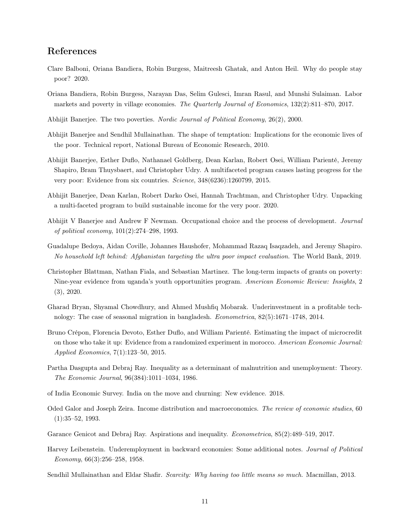# References

- Clare Balboni, Oriana Bandiera, Robin Burgess, Maitreesh Ghatak, and Anton Heil. Why do people stay poor? 2020.
- Oriana Bandiera, Robin Burgess, Narayan Das, Selim Gulesci, Imran Rasul, and Munshi Sulaiman. Labor markets and poverty in village economies. *The Quarterly Journal of Economics*, 132(2):811–870, 2017.
- Abhijit Banerjee. The two poverties. *Nordic Journal of Political Economy*, 26(2), 2000.
- Abhijit Banerjee and Sendhil Mullainathan. The shape of temptation: Implications for the economic lives of the poor. Technical report, National Bureau of Economic Research, 2010.
- Abhijit Banerjee, Esther Duflo, Nathanael Goldberg, Dean Karlan, Robert Osei, William Parienté, Jeremy Shapiro, Bram Thuysbaert, and Christopher Udry. A multifaceted program causes lasting progress for the very poor: Evidence from six countries. *Science*, 348(6236):1260799, 2015.
- Abhijit Banerjee, Dean Karlan, Robert Darko Osei, Hannah Trachtman, and Christopher Udry. Unpacking a multi-faceted program to build sustainable income for the very poor. 2020.
- Abhijit V Banerjee and Andrew F Newman. Occupational choice and the process of development. *Journal of political economy*, 101(2):274–298, 1993.
- Guadalupe Bedoya, Aidan Coville, Johannes Haushofer, Mohammad Razaq Isaqzadeh, and Jeremy Shapiro. *No household left behind: Afghanistan targeting the ultra poor impact evaluation*. The World Bank, 2019.
- Christopher Blattman, Nathan Fiala, and Sebastian Martinez. The long-term impacts of grants on poverty: Nine-year evidence from uganda's youth opportunities program. *American Economic Review: Insights*, 2 (3), 2020.
- Gharad Bryan, Shyamal Chowdhury, and Ahmed Mushfiq Mobarak. Underinvestment in a profitable technology: The case of seasonal migration in bangladesh. *Econometrica*, 82(5):1671–1748, 2014.
- Bruno Crépon, Florencia Devoto, Esther Duflo, and William Parienté. Estimating the impact of microcredit on those who take it up: Evidence from a randomized experiment in morocco. *American Economic Journal: Applied Economics*, 7(1):123–50, 2015.
- Partha Dasgupta and Debraj Ray. Inequality as a determinant of malnutrition and unemployment: Theory. *The Economic Journal*, 96(384):1011–1034, 1986.
- of India Economic Survey. India on the move and churning: New evidence. 2018.
- Oded Galor and Joseph Zeira. Income distribution and macroeconomics. *The review of economic studies*, 60 (1):35–52, 1993.
- Garance Genicot and Debraj Ray. Aspirations and inequality. *Econometrica*, 85(2):489–519, 2017.
- Harvey Leibenstein. Underemployment in backward economies: Some additional notes. *Journal of Political Economy*, 66(3):256–258, 1958.
- Sendhil Mullainathan and Eldar Shafir. *Scarcity: Why having too little means so much*. Macmillan, 2013.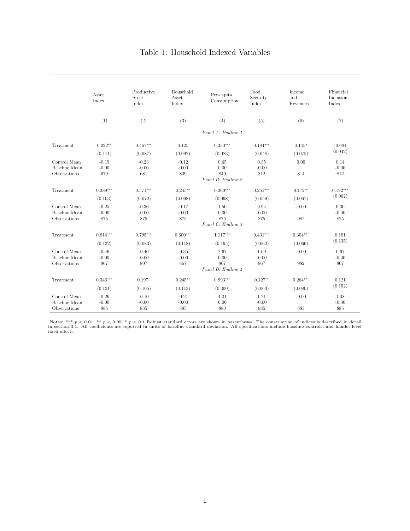## Table 1: Household Indexed Variables

|                               | <b>Asset</b><br>Index | Productive<br>Asset<br>Index | Household<br>Asset<br>Index | Per-capita<br>Consumption | Food<br>Security<br>Index | Income<br>and<br>Revenues | Financial<br>Inclusion<br>Index |
|-------------------------------|-----------------------|------------------------------|-----------------------------|---------------------------|---------------------------|---------------------------|---------------------------------|
|                               | (1)                   | (2)                          | (3)                         | (4)                       | (5)                       | (6)                       | (7)                             |
|                               |                       |                              |                             | Panel A: Endline 1        |                           |                           |                                 |
| Treatment                     | $0.222**$             | $0.467***$                   | 0.125                       | $0.333***$                | $0.184***$                | $0.145*$                  | $-0.004$                        |
|                               | (0.111)               | (0.087)                      | (0.092)                     | (0.083)                   | (0.048)                   | (0.075)                   | (0.042)                         |
| Control Mean<br>Baseline Mean | $-0.19$<br>$-0.00$    | $-0.23$<br>$-0.00$           | $-0.12$<br>$-0.00$          | 0.65<br>0.00              | 0.35<br>$-0.00$           | 0.00                      | 0.14<br>$-0.00$                 |
| Observations                  | 679                   | 681                          | 809                         | 849<br>Panel B: Endline 2 | 812                       | 814                       | 812                             |
| Treatment                     | $0.389***$            | $0.571***$                   | $0.245**$                   | $0.360***$                | $0.251***$                | $0.172**$                 | $0.192***$                      |
|                               | (0.103)               | (0.072)                      | (0.098)                     | (0.098)                   | (0.059)                   | (0.067)                   | (0.062)                         |
| Control Mean                  | $-0.25$               | $-0.30$                      | $-0.17$                     | 1.50                      | 0.94                      | $-0.00$                   | 0.30                            |
| Baseline Mean<br>Observations | $-0.00$<br>875        | $-0.00$<br>875               | $-0.00$<br>875              | 0.00<br>875               | $-0.00$<br>875            | 982                       | $-0.00$<br>875                  |
|                               |                       |                              |                             | Panel C: Endline 3        |                           |                           |                                 |
| Treatment                     | $0.814***$            | $0.795***$                   | $0.600***$                  | $1.117***$                | $0.431***$                | $0.304***$                | 0.181                           |
|                               | (0.132)               | (0.083)                      | (0.118)                     | (0.195)                   | (0.062)                   | (0.066)                   | (0.135)                         |
| Control Mean                  | $-0.46$               | $-0.40$                      | $-0.35$                     | 2.67                      | 1.09                      | $-0.00$                   | 0.67                            |
| Baseline Mean<br>Observations | $-0.00$<br>807        | $-0.00$<br>807               | $-0.00$<br>867              | 0.00<br>867               | $-0.00$<br>867            | 982                       | $-0.00$<br>867                  |
|                               | Panel D: Endline 4    |                              |                             |                           |                           |                           |                                 |
| Treatment                     | $0.346***$            | $0.197*$                     | $0.245**$                   | $0.993***$                | $0.127**$                 | $0.264***$                | 0.121                           |
|                               | (0.121)               | (0.105)                      | (0.113)                     | (0.300)                   | (0.063)                   | (0.080)                   | (0.152)                         |
| Control Mean                  | $-0.26$               | $-0.10$                      | $-0.21$                     | 4.01                      | 1.21                      | $-0.00$                   | 1.08                            |
| Baseline Mean<br>Observations | $-0.00$<br>885        | $-0.00$<br>885               | $-0.00$<br>885              | 0.00<br>880               | $-0.00$<br>885            | 885                       | $-0.00$<br>885                  |
|                               |                       |                              |                             |                           |                           |                           |                                 |

Notes: \*\*\*  $p < 0.01$ , \*\*  $p < 0.05$ , \*  $p < 0.1$  Robust standard errors are shown in parentheses. The construction of indices is described in detail<br>in section 3.1. All coefficients are reported in units of baseline standar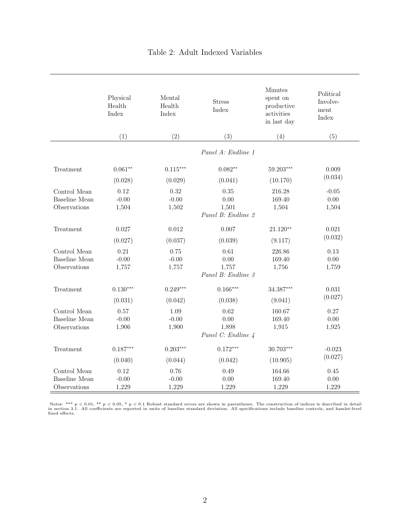|                                                      | Physical<br>Health<br>Index | Mental<br>Health<br>Index | <b>Stress</b><br>Index                      | <b>Minutes</b><br>spent on<br>productive<br>activities<br>in last day | Political<br>Involve-<br>ment<br>Index |
|------------------------------------------------------|-----------------------------|---------------------------|---------------------------------------------|-----------------------------------------------------------------------|----------------------------------------|
|                                                      | (1)                         | (2)                       | (3)                                         | (4)                                                                   | (5)                                    |
|                                                      |                             |                           | Panel A: Endline 1                          |                                                                       |                                        |
| Treatment                                            | $0.061**$                   | $0.115***$                | $0.082**$                                   | $59.203***$                                                           | 0.009                                  |
|                                                      | (0.028)                     | (0.029)                   | (0.041)                                     | (10.170)                                                              | (0.034)                                |
| Control Mean<br><b>Baseline</b> Mean<br>Observations | 0.12<br>$-0.00$<br>1,504    | 0.32<br>$-0.00$<br>1,502  | 0.35<br>0.00<br>1,501<br>Panel B: Endline 2 | 216.28<br>169.40<br>1,504                                             | $-0.05$<br>0.00<br>1,504               |
| Treatment                                            | 0.027                       | 0.012                     | 0.007                                       | $21.120**$                                                            | 0.021<br>(0.032)                       |
|                                                      | (0.027)                     | (0.037)                   | (0.039)                                     | (9.117)                                                               |                                        |
| Control Mean<br><b>Baseline</b> Mean<br>Observations | 0.21<br>$-0.00$<br>1,757    | 0.75<br>$-0.00$<br>1,757  | 0.61<br>0.00<br>1,757<br>Panel B: Endline 3 | 226.86<br>169.40<br>1,756                                             | 0.13<br>0.00<br>1,759                  |
| Treatment                                            | $0.130***$                  | $0.249***$                | $0.166***$                                  | 34.387***                                                             | 0.031                                  |
|                                                      | (0.031)                     | (0.042)                   | (0.038)                                     | (9.041)                                                               | (0.027)                                |
| Control Mean<br><b>Baseline</b> Mean<br>Observations | 0.57<br>$-0.00$<br>1,906    | 1.09<br>$-0.00$<br>1,900  | 0.62<br>0.00<br>1,898<br>Panel C: Endline 4 | 160.67<br>169.40<br>1,915                                             | 0.27<br>0.00<br>1,925                  |
| Treatment                                            | $0.187***$                  | $0.203***$                | $0.172***$                                  | $30.703***$                                                           | $-0.023$                               |
|                                                      | (0.040)                     | (0.044)                   | (0.042)                                     | (10.905)                                                              | (0.027)                                |
| Control Mean<br>Baseline Mean<br>Observations        | 0.12<br>$-0.00$<br>1,229    | 0.76<br>$-0.00$<br>1,229  | 0.49<br>0.00<br>1,229                       | 164.66<br>169.40<br>1,229                                             | $0.45\,$<br>0.00<br>1,229              |

## Table 2: Adult Indexed Variables

Notes: \*\*\*  $p < 0.01$ , \*\*  $p < 0.05$ , \*  $p < 0.1$  Robust standard errors are shown in parentheses. The construction of indices is described in detail<br>in section 3.1. All coefficients are reported in units of baseline standar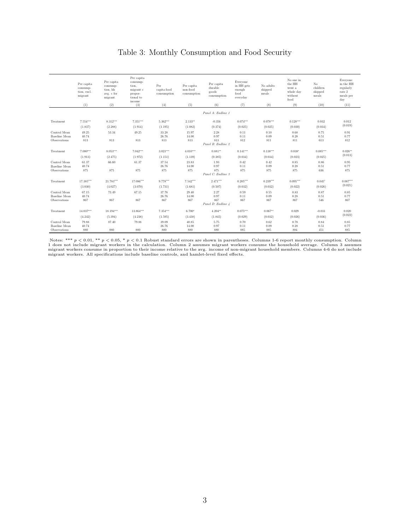## Table 3: Monthly Consumption and Food Security

|                                                      | Per capita<br>consump-<br>tion, excl.<br>migrant | Per capita<br>consump-<br>tion, hh<br>avg. c for<br>migrant | Per capita<br>consump-<br>tion.<br>migrant c<br>propor-<br>tional to<br>income | Per<br>capita food<br>consumption | Per capita<br>non-food<br>consumption | Per capita<br>durable<br>goods<br>consumption | Everyone<br>in HH gets<br>enough<br>food<br>everyday | No adults<br>skipped<br>meals | No one in<br>the HH<br>went a<br>whole day<br>without<br>food | No<br>children<br>skipped<br>meals | Everyone<br>in the HH<br>regularly<br>eats 2<br>meals per<br>day |
|------------------------------------------------------|--------------------------------------------------|-------------------------------------------------------------|--------------------------------------------------------------------------------|-----------------------------------|---------------------------------------|-----------------------------------------------|------------------------------------------------------|-------------------------------|---------------------------------------------------------------|------------------------------------|------------------------------------------------------------------|
|                                                      | (1)                                              | (2)                                                         | (3)                                                                            | (4)                               | (5)                                   | (6)                                           | (7)                                                  | (8)                           | (9)                                                           | (10)                               | (11)                                                             |
|                                                      |                                                  |                                                             |                                                                                |                                   |                                       | Panel A: Endline 1                            |                                                      |                               |                                                               |                                    |                                                                  |
| Treatment                                            | 7.554***<br>(1.837)                              | 8.312***<br>(2.288)                                         | $7.351***$<br>(1.914)                                                          | $5.362***$<br>(1.195)             | $2.133**$<br>(1.082)                  | $-0.356$<br>(0.374)                           | $0.074***$<br>(0.025)                                | $0.078***$<br>(0.025)         | $0.128***$<br>(0.030)                                         | 0.032<br>(0.034)                   | 0.012<br>(0.019)                                                 |
| Control Mean<br>Baseline Mean<br>Observations        | 49.25<br>40.74<br>813                            | 53.34<br>813                                                | 49.25<br>813                                                                   | 33.28<br>26.76<br>813             | 15.97<br>14.00<br>813                 | $2.28\,$<br>0.97<br>813<br>Panel B: Endline 2 | 0.11<br>0.11<br>812                                  | 0.10<br>0.09<br>811           | 0.68<br>0.28<br>811                                           | 0.75<br>0.51<br>613                | 0.91<br>0.77<br>812                                              |
| Treatment                                            | $7.080***$<br>(1.913)                            | $8.053***$<br>(2.475)                                       | $7.042***$<br>(1.972)                                                          | $3.021***$<br>(1.151)             | $4.010***$<br>(1.139)                 | $0.881**$<br>(0.385)                          | $0.141***$<br>(0.034)                                | $0.138***$<br>(0.034)         | $0.038*$<br>(0.023)                                           | $0.085***$<br>(0.025)              | $0.026**$<br>(0.013)                                             |
| Control Mean<br>Baseline Mean<br>Observations        | 61.37<br>40.74<br>875                            | 66.60<br>875                                                | 61.37<br>875                                                                   | 37.54<br>26.76<br>875             | 23.83<br>14.00<br>875                 | 1.93<br>0.97<br>875<br>Panel C: Endline 3     | 0.42<br>0.11<br>875                                  | 0.42<br>0.09<br>875           | 0.85<br>0.28<br>875                                           | 0.86<br>0.51<br>636                | 0.95<br>0.77<br>875                                              |
| Treatment                                            | 17.385***<br>(3.030)                             | $21.783***$<br>(4.027)                                      | 17.086***<br>(3.070)                                                           | $9.778***$<br>(1.731)             | 7.542***<br>(1.681)                   | $2.471***$<br>(0.507)                         | $0.205***$<br>(0.032)                                | $0.239***$<br>(0.032)         | $0.095***$<br>(0.022)                                         | $0.045*$<br>(0.026)                | $0.087***$<br>(0.021)                                            |
| Control Mean<br><b>Baseline Mean</b><br>Observations | 67.15<br>40.74<br>867                            | 73.49<br>867                                                | 67.15<br>867                                                                   | 37.76<br>26.76<br>867             | 29.40<br>14.00<br>867                 | 2.27<br>0.97<br>867<br>Panel D: Endline 4     | 0.59<br>0.11<br>867                                  | 0.55<br>0.09<br>867           | 0.83<br>0.28<br>867                                           | 0.87<br>0.51<br>546                | 0.85<br>0.77<br>867                                              |
| Treatment                                            | $14.037***$<br>(4.242)                           | 18.194***<br>(5.394)                                        | 13.864***<br>(4.238)                                                           | 7.354***<br>(1.595)               | $6.700*$<br>(3.438)                   | $4.204**$<br>(1.845)                          | $0.075***$<br>(0.029)                                | $0.067**$<br>(0.032)          | 0.029<br>(0.026)                                              | $-0.031$<br>(0.036)                | 0.020<br>(0.022)                                                 |
| Control Mean<br>Baseline Mean<br>Observations        | 79.88<br>40.74<br>880                            | 87.40<br>880                                                | 79.88<br>880                                                                   | 39.09<br>26.76<br>880             | 40.85<br>14.00<br>880                 | 5.75<br>0.97<br>880                           | 0.70<br>0.11<br>885                                  | 0.62<br>0.09<br>885           | 0.78<br>0.28<br>884                                           | 0.84<br>0.51<br>451                | 0.85<br>0.77<br>885                                              |

Notes: \*\*\*  $p < 0.01$ , \*\*  $p < 0.05$ , \*  $p < 0.1$  Robust standard errors are shown in parentheses. Columns 1-6 report monthly consumption. Column<br>1 does not include migrant workers in the calculation. Column 2 assumes migran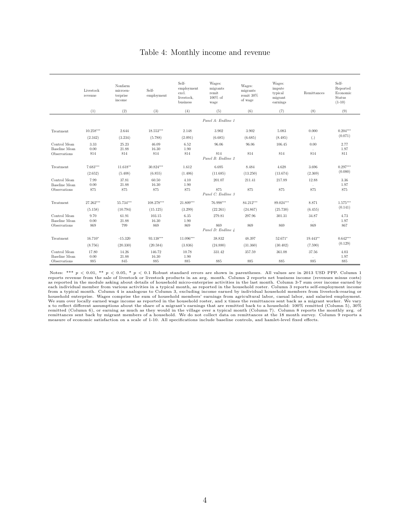### Table 4: Monthly income and revenue

|                                               | Livestock<br>revenue   | Nonfarm<br>microen-<br>terprise<br>income | Self-<br>employment    | Self-<br>employment<br>excl.<br>livestock.<br>business | Wages:<br>migrants<br>remit<br>$100\%$ of<br>wage | Wages:<br>migrants<br>remit 30%<br>of wage | Wages:<br>impute<br>typical<br>migrant<br>earnings | Remittances                  | Self-<br>Reported<br>Economic<br>Status<br>$(1-10)$ |
|-----------------------------------------------|------------------------|-------------------------------------------|------------------------|--------------------------------------------------------|---------------------------------------------------|--------------------------------------------|----------------------------------------------------|------------------------------|-----------------------------------------------------|
|                                               | (1)                    | (2)                                       | (3)                    | (4)                                                    | (5)                                               | (6)                                        | (7)                                                | (8)                          | (9)                                                 |
|                                               |                        |                                           |                        |                                                        | Panel A: Endline 1                                |                                            |                                                    |                              |                                                     |
| Treatment                                     | $10.258***$<br>(2.342) | 2.644<br>(3.234)                          | $18.553***$<br>(5.788) | 2.148<br>(2.091)                                       | 3.902<br>(6.685)                                  | 3.902<br>(6.685)                           | 5.083<br>(8.485)                                   | 0.000<br>$\left( .\right)$   | $0.204***$<br>(0.071)                               |
| Control Mean<br>Baseline Mean<br>Observations | 3.33<br>0.00<br>814    | 25.23<br>21.88<br>814                     | 46.09<br>16.30<br>814  | 6.52<br>1.90<br>814                                    | 96.06<br>814                                      | 96.06<br>814                               | 106.45<br>814                                      | 0.00<br>$\sim$<br>814        | 2.77<br>1.97<br>811                                 |
|                                               |                        |                                           |                        |                                                        | Panel B: Endline 2                                |                                            |                                                    |                              |                                                     |
| Treatment                                     | 7.683***               | $11.618**$                                | 30.824***              | 1.612                                                  | 6.695                                             | 8.484                                      | 4.628                                              | 3.696                        | $0.297***$                                          |
|                                               | (2.652)                | (5.408)                                   | (6.855)                | (1.406)                                                | (11.685)                                          | (13.250)                                   | (13.674)                                           | (2.369)                      | (0.080)                                             |
| Control Mean<br>Baseline Mean<br>Observations | 7.99<br>0.00<br>875    | 37.81<br>21.88<br>875                     | 60.50<br>16.30<br>875  | 4.10<br>1.90<br>875                                    | 201.07<br>875<br>Panel C: Endline 3               | 211.41<br>875                              | 217.89<br>875                                      | 12.88<br>$\mathbf{r}$<br>875 | 3.36<br>1.97<br>875                                 |
| Treatment                                     | 27.262***              | 55.734***                                 | 108.278***             | $21.809***$                                            | 76.998***                                         | 84.212***                                  | 89.024***                                          | 8.871                        | $1.575***$                                          |
|                                               | (5.158)                | (10.794)                                  | (15.125)               | (3.299)                                                | (22.261)                                          | (24.867)                                   | (25.730)                                           | (6.455)                      | (0.141)                                             |
| Control Mean<br>Baseline Mean                 | 9.70<br>0.00           | 61.91<br>21.88                            | 103.15<br>16.30        | 6.35<br>1.90                                           | 279.81                                            | 297.96                                     | 301.31                                             | 34.87                        | 4.73<br>1.97                                        |
| Observations                                  | 869                    | 799                                       | 869                    | 869                                                    | 869<br>Panel D: Endline 4                         | 869                                        | 869                                                | 869                          | 867                                                 |
| Treatment                                     | $16.710*$              | $-15.320$                                 | 93.138***              | 11.096***                                              | 38.832                                            | 48.397                                     | 52.671*                                            | 19.443**                     | $0.642***$                                          |
|                                               | (8.756)                | (20.330)                                  | (20.584)               | (3.836)                                                | (24.880)                                          | (31.360)                                   | (30.402)                                           | (7.590)                      | (0.129)                                             |
| Control Mean<br>Baseline Mean<br>Observations | 17.80<br>0.00<br>885   | 14.26<br>21.88<br>845                     | 146.72<br>16.30<br>885 | 10.78<br>1.90<br>885                                   | 331.42<br>885                                     | 357.59<br>885                              | 361.08<br>885                                      | 37.56<br>885                 | 4.03<br>1.97<br>885                                 |

Notes: \*\*\*  $p < 0.01$ , \*\*  $p < 0.05$ , \*  $p < 0.1$  Robust standard errors are shown in parentheses. All values are in 2013 USD PPP. Column 1 parentheses:  $p$  and  $p$  and  $p$  and  $p$  and  $p$  and  $p$  and  $p$  and  $p$  and  $p$  and from a typical month. Column 4 is analogous to Column 3, excluding income earned by individual household members from livestock-rearing or<br>household enterprise. Wages comprise the sum of household members' earnings from ag x to reflect different assumptions about the share of a migrant's earnings that are remitted back to a household: 100% remitted (Column 5), 30% remitted (Column 6), or earning as much as they would in the village over a typical month (Column 7). Column 8 reports the monthly avg. of<br>remittances sent back by migrant members of a household. We do not collect data on measure of economic satisfaction on a scale of 1-10. All specifications include baseline controls, and hamlet-level fixed effects.